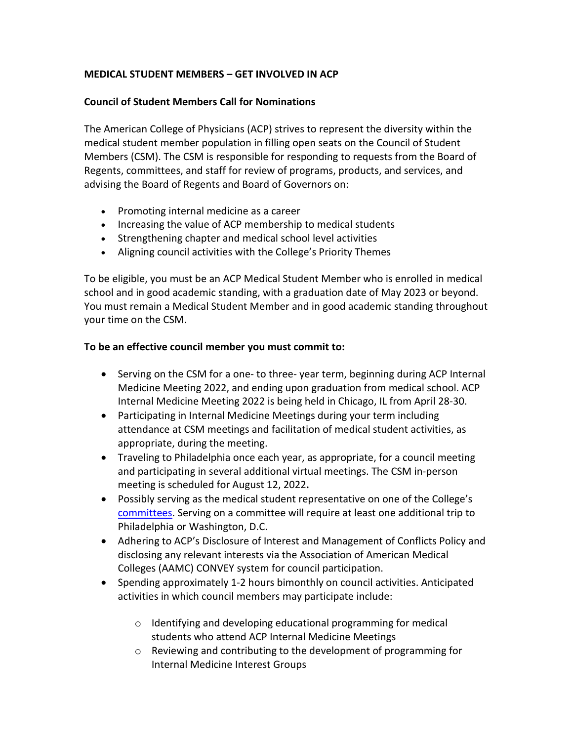## **MEDICAL STUDENT MEMBERS – GET INVOLVED IN ACP**

## **Council of Student Members Call for Nominations**

The American College of Physicians (ACP) strives to represent the diversity within the medical student member population in filling open seats on the Council of Student Members (CSM). The CSM is responsible for responding to requests from the Board of Regents, committees, and staff for review of programs, products, and services, and advising the Board of Regents and Board of Governors on:

- Promoting internal medicine as a career
- Increasing the value of ACP membership to medical students
- Strengthening chapter and medical school level activities
- Aligning council activities with the College's Priority Themes

To be eligible, you must be an ACP Medical Student Member who is enrolled in medical school and in good academic standing, with a graduation date of May 2023 or beyond. You must remain a Medical Student Member and in good academic standing throughout your time on the CSM.

## **To be an effective council member you must commit to:**

- Serving on the CSM for a one- to three- year term, beginning during ACP Internal Medicine Meeting 2022, and ending upon graduation from medical school. ACP Internal Medicine Meeting 2022 is being held in Chicago, IL from April 28-30.
- Participating in Internal Medicine Meetings during your term including attendance at CSM meetings and facilitation of medical student activities, as appropriate, during the meeting.
- Traveling to Philadelphia once each year, as appropriate, for a council meeting and participating in several additional virtual meetings. The CSM in-person meeting is scheduled for August 12, 2022**.**
- Possibly serving as the medical student representative on one of the College's [committees.](https://www.acponline.org/about-acp/who-we-are/leadership/committees-boards-councils) Serving on a committee will require at least one additional trip to Philadelphia or Washington, D.C.
- Adhering to ACP's Disclosure of Interest and Management of Conflicts Policy and disclosing any relevant interests via the Association of American Medical Colleges (AAMC) CONVEY system for council participation.
- Spending approximately 1-2 hours bimonthly on council activities. Anticipated activities in which council members may participate include:
	- o Identifying and developing educational programming for medical students who attend ACP Internal Medicine Meetings
	- o Reviewing and contributing to the development of programming for Internal Medicine Interest Groups